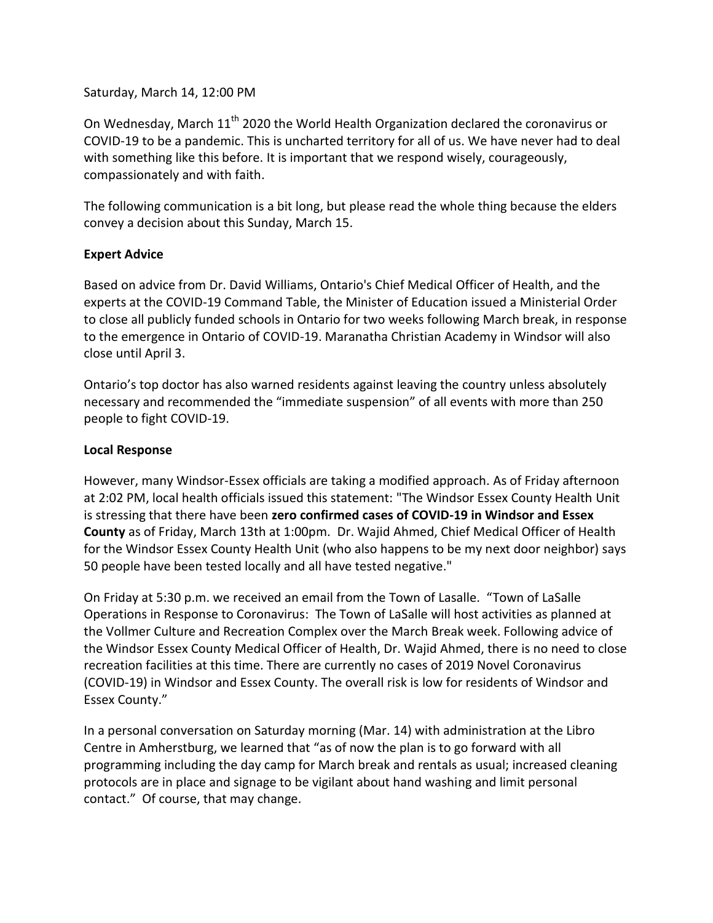### Saturday, March 14, 12:00 PM

On Wednesday, March 11<sup>th</sup> 2020 the World Health Organization declared the coronavirus or COVID-19 to be a pandemic. This is uncharted territory for all of us. We have never had to deal with something like this before. It is important that we respond wisely, courageously, compassionately and with faith.

The following communication is a bit long, but please read the whole thing because the elders convey a decision about this Sunday, March 15.

### **Expert Advice**

Based on advice from Dr. David Williams, Ontario's Chief Medical Officer of Health, and the experts at the COVID-19 Command Table, the Minister of Education issued a Ministerial Order to close all publicly funded schools in Ontario for two weeks following March break, in response to the emergence in Ontario of COVID-19. Maranatha Christian Academy in Windsor will also close until April 3.

Ontario's top doctor has also warned residents against leaving the country unless absolutely necessary and recommended the "immediate suspension" of all events with more than 250 people to fight COVID-19.

#### **Local Response**

However, many Windsor-Essex officials are taking a modified approach. As of Friday afternoon at 2:02 PM, local health officials issued this statement: "The Windsor Essex County Health Unit is stressing that there have been **zero confirmed cases of COVID-19 in Windsor and Essex County** as of Friday, March 13th at 1:00pm. Dr. Wajid Ahmed, Chief Medical Officer of Health for the Windsor Essex County Health Unit (who also happens to be my next door neighbor) says 50 people have been tested locally and all have tested negative."

On Friday at 5:30 p.m. we received an email from the Town of Lasalle. "Town of LaSalle Operations in Response to Coronavirus: The Town of LaSalle will host activities as planned at the Vollmer Culture and Recreation Complex over the March Break week. Following advice of the Windsor Essex County Medical Officer of Health, Dr. Wajid Ahmed, there is no need to close recreation facilities at this time. There are currently no cases of 2019 Novel Coronavirus (COVID-19) in Windsor and Essex County. The overall risk is low for residents of Windsor and Essex County."

In a personal conversation on Saturday morning (Mar. 14) with administration at the Libro Centre in Amherstburg, we learned that "as of now the plan is to go forward with all programming including the day camp for March break and rentals as usual; increased cleaning protocols are in place and signage to be vigilant about hand washing and limit personal contact." Of course, that may change.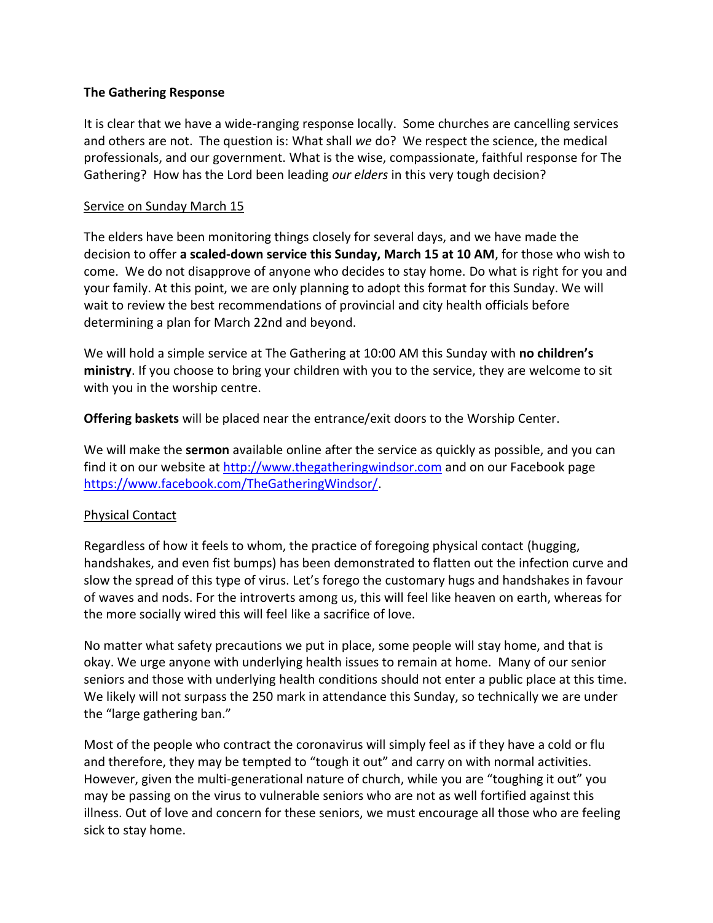### **The Gathering Response**

It is clear that we have a wide-ranging response locally. Some churches are cancelling services and others are not. The question is: What shall *we* do? We respect the science, the medical professionals, and our government. What is the wise, compassionate, faithful response for The Gathering? How has the Lord been leading *our elders* in this very tough decision?

# Service on Sunday March 15

The elders have been monitoring things closely for several days, and we have made the decision to offer **a scaled-down service this Sunday, March 15 at 10 AM**, for those who wish to come. We do not disapprove of anyone who decides to stay home. Do what is right for you and your family. At this point, we are only planning to adopt this format for this Sunday. We will wait to review the best recommendations of provincial and city health officials before determining a plan for March 22nd and beyond.

We will hold a simple service at The Gathering at 10:00 AM this Sunday with **no children's ministry**. If you choose to bring your children with you to the service, they are welcome to sit with you in the worship centre.

**Offering baskets** will be placed near the entrance/exit doors to the Worship Center.

We will make the **sermon** available online after the service as quickly as possible, and you can find it on our website at [http://www.thegatheringwindsor.com](http://www.thegatheringwindsor.com/) and on our Facebook page [https://www.facebook.com/TheGatheringWindsor/.](https://www.facebook.com/TheGatheringWindsor/)

# Physical Contact

Regardless of how it feels to whom, the practice of foregoing physical contact (hugging, handshakes, and even fist bumps) has been demonstrated to flatten out the infection curve and slow the spread of this type of virus. Let's forego the customary hugs and handshakes in favour of waves and nods. For the introverts among us, this will feel like heaven on earth, whereas for the more socially wired this will feel like a sacrifice of love.

No matter what safety precautions we put in place, some people will stay home, and that is okay. We urge anyone with underlying health issues to remain at home. Many of our senior seniors and those with underlying health conditions should not enter a public place at this time. We likely will not surpass the 250 mark in attendance this Sunday, so technically we are under the "large gathering ban."

Most of the people who contract the coronavirus will simply feel as if they have a cold or flu and therefore, they may be tempted to "tough it out" and carry on with normal activities. However, given the multi-generational nature of church, while you are "toughing it out" you may be passing on the virus to vulnerable seniors who are not as well fortified against this illness. Out of love and concern for these seniors, we must encourage all those who are feeling sick to stay home.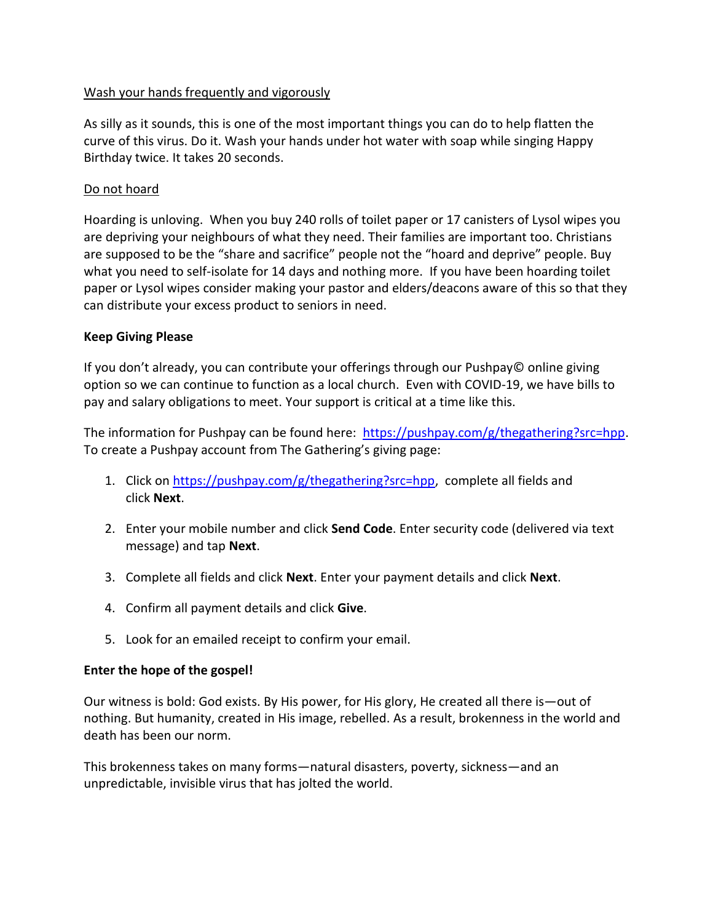# Wash your hands frequently and vigorously

As silly as it sounds, this is one of the most important things you can do to help flatten the curve of this virus. Do it. Wash your hands under hot water with soap while singing Happy Birthday twice. It takes 20 seconds.

# Do not hoard

Hoarding is unloving. When you buy 240 rolls of toilet paper or 17 canisters of Lysol wipes you are depriving your neighbours of what they need. Their families are important too. Christians are supposed to be the "share and sacrifice" people not the "hoard and deprive" people. Buy what you need to self-isolate for 14 days and nothing more. If you have been hoarding toilet paper or Lysol wipes consider making your pastor and elders/deacons aware of this so that they can distribute your excess product to seniors in need.

### **Keep Giving Please**

If you don't already, you can contribute your offerings through our Pushpay© online giving option so we can continue to function as a local church. Even with COVID-19, we have bills to pay and salary obligations to meet. Your support is critical at a time like this.

The information for Pushpay can be found here: [https://pushpay.com/g/thegathering?src=hpp.](https://pushpay.com/g/thegathering?src=hpp) To create a Pushpay account from The Gathering's giving page:

- 1. Click on [https://pushpay.com/g/thegathering?src=hpp,](https://pushpay.com/g/thegathering?src=hpp) complete all fields and click **Next**.
- 2. Enter your mobile number and click **Send Code**. Enter security code (delivered via text message) and tap **Next**.
- 3. Complete all fields and click **Next**. Enter your payment details and click **Next**.
- 4. Confirm all payment details and click **Give**.
- 5. Look for an emailed receipt to confirm your email.

### **Enter the hope of the gospel!**

Our witness is bold: God exists. By His power, for His glory, He created all there is—out of nothing. But humanity, created in His image, rebelled. As a result, brokenness in the world and death has been our norm.

This brokenness takes on many forms—natural disasters, poverty, sickness—and an unpredictable, invisible virus that has jolted the world.